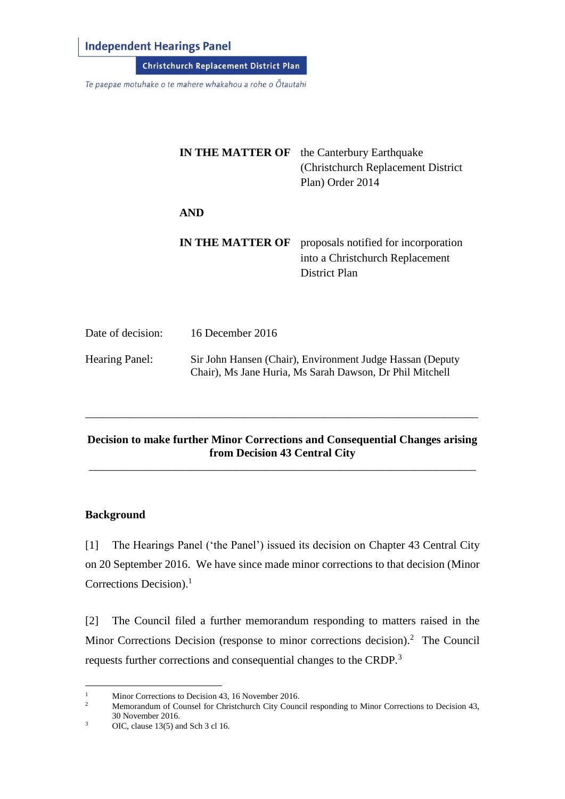**Independent Hearings Panel** 

**Christchurch Replacement District Plan** 

Te paepae motuhake o te mahere whakahou a rohe o Ōtautahi

|                       | <b>IN THE MATTER OF</b>                                                                                               | the Canterbury Earthquake<br>(Christchurch Replacement District)<br>Plan) Order 2014     |
|-----------------------|-----------------------------------------------------------------------------------------------------------------------|------------------------------------------------------------------------------------------|
|                       | <b>AND</b>                                                                                                            |                                                                                          |
|                       | <b>IN THE MATTER OF</b>                                                                                               | proposals notified for incorporation<br>into a Christchurch Replacement<br>District Plan |
| Date of decision:     | 16 December 2016                                                                                                      |                                                                                          |
| <b>Hearing Panel:</b> | Sir John Hansen (Chair), Environment Judge Hassan (Deputy<br>Chair), Ms Jane Huria, Ms Sarah Dawson, Dr Phil Mitchell |                                                                                          |

### **Decision to make further Minor Corrections and Consequential Changes arising from Decision 43 Central City**  \_\_\_\_\_\_\_\_\_\_\_\_\_\_\_\_\_\_\_\_\_\_\_\_\_\_\_\_\_\_\_\_\_\_\_\_\_\_\_\_\_\_\_\_\_\_\_\_\_\_\_\_\_\_\_\_\_\_\_\_\_\_\_\_\_\_\_\_

\_\_\_\_\_\_\_\_\_\_\_\_\_\_\_\_\_\_\_\_\_\_\_\_\_\_\_\_\_\_\_\_\_\_\_\_\_\_\_\_\_\_\_\_\_\_\_\_\_\_\_\_\_\_\_\_\_\_\_\_\_\_\_\_\_\_\_\_\_

### **Background**

 $\overline{a}$ 

[1] The Hearings Panel ('the Panel') issued its decision on Chapter 43 Central City on 20 September 2016. We have since made minor corrections to that decision (Minor Corrections Decision).<sup>1</sup>

[2] The Council filed a further memorandum responding to matters raised in the Minor Corrections Decision (response to minor corrections decision).<sup>2</sup> The Council requests further corrections and consequential changes to the CRDP.<sup>3</sup>

<sup>&</sup>lt;sup>1</sup> Minor Corrections to Decision 43, 16 November 2016.<br><sup>2</sup> Memorandum of Counsel for Christchurch City Counc

<sup>2</sup> Memorandum of Counsel for Christchurch City Council responding to Minor Corrections to Decision 43, 30 November 2016.

 $3 \qquad \text{OIC, clause } 13(5) \text{ and Sch } 3 \text{ cl } 16.$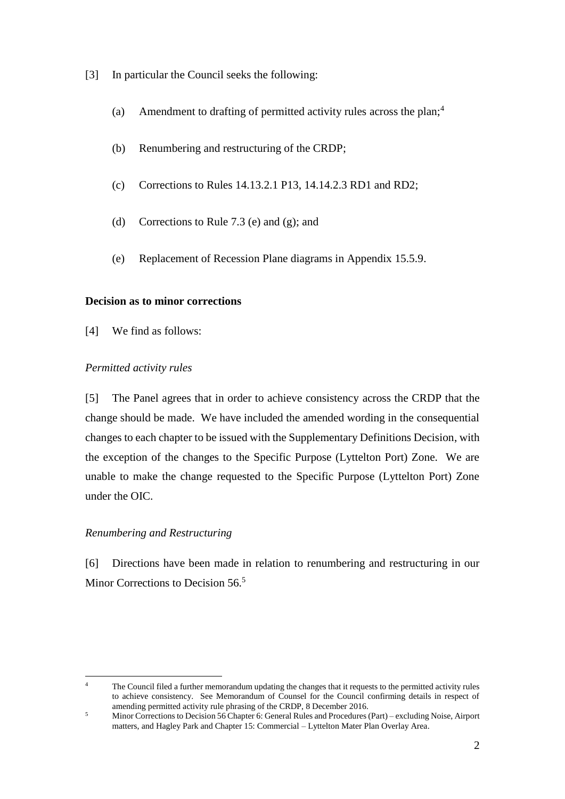- [3] In particular the Council seeks the following:
	- (a) Amendment to drafting of permitted activity rules across the plan; 4
	- (b) Renumbering and restructuring of the CRDP;
	- (c) Corrections to Rules 14.13.2.1 P13, 14.14.2.3 RD1 and RD2;
	- (d) Corrections to Rule 7.3 (e) and (g); and
	- (e) Replacement of Recession Plane diagrams in Appendix 15.5.9.

## **Decision as to minor corrections**

[4] We find as follows:

# *Permitted activity rules*

[5] The Panel agrees that in order to achieve consistency across the CRDP that the change should be made. We have included the amended wording in the consequential changes to each chapter to be issued with the Supplementary Definitions Decision, with the exception of the changes to the Specific Purpose (Lyttelton Port) Zone. We are unable to make the change requested to the Specific Purpose (Lyttelton Port) Zone under the OIC.

## *Renumbering and Restructuring*

[6] Directions have been made in relation to renumbering and restructuring in our Minor Corrections to Decision 56.<sup>5</sup>

 $\overline{a}$ <sup>4</sup> The Council filed a further memorandum updating the changes that it requests to the permitted activity rules to achieve consistency. See Memorandum of Counsel for the Council confirming details in respect of amending permitted activity rule phrasing of the CRDP, 8 December 2016.

<sup>5</sup> Minor Corrections to Decision 56 Chapter 6: General Rules and Procedures (Part) – excluding Noise, Airport matters, and Hagley Park and Chapter 15: Commercial – Lyttelton Mater Plan Overlay Area.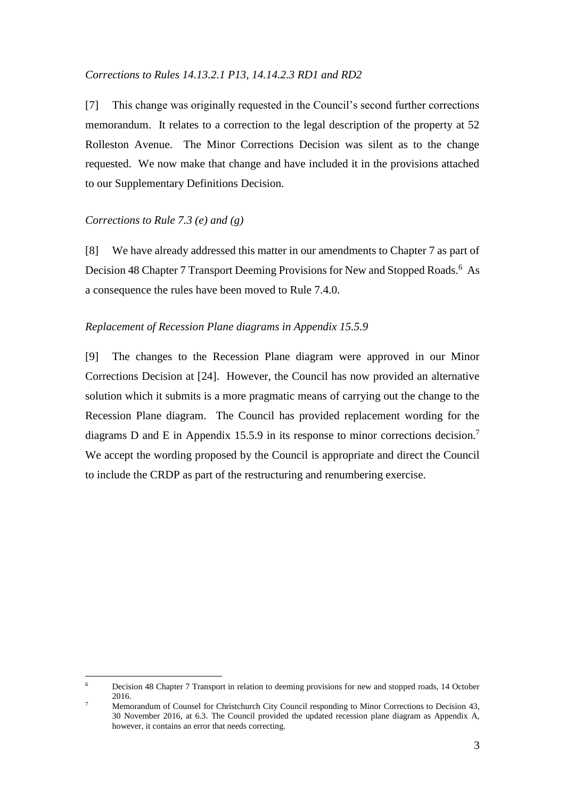#### *Corrections to Rules 14.13.2.1 P13, 14.14.2.3 RD1 and RD2*

[7] This change was originally requested in the Council's second further corrections memorandum. It relates to a correction to the legal description of the property at 52 Rolleston Avenue. The Minor Corrections Decision was silent as to the change requested. We now make that change and have included it in the provisions attached to our Supplementary Definitions Decision.

#### *Corrections to Rule 7.3 (e) and (g)*

 $\overline{a}$ 

[8] We have already addressed this matter in our amendments to Chapter 7 as part of Decision 48 Chapter 7 Transport Deeming Provisions for New and Stopped Roads.<sup>6</sup> As a consequence the rules have been moved to Rule 7.4.0.

### *Replacement of Recession Plane diagrams in Appendix 15.5.9*

[9] The changes to the Recession Plane diagram were approved in our Minor Corrections Decision at [24]. However, the Council has now provided an alternative solution which it submits is a more pragmatic means of carrying out the change to the Recession Plane diagram. The Council has provided replacement wording for the diagrams D and E in Appendix 15.5.9 in its response to minor corrections decision.<sup>7</sup> We accept the wording proposed by the Council is appropriate and direct the Council to include the CRDP as part of the restructuring and renumbering exercise.

<sup>&</sup>lt;sup>6</sup> Decision 48 Chapter 7 Transport in relation to deeming provisions for new and stopped roads, 14 October 2016.

<sup>7</sup> Memorandum of Counsel for Christchurch City Council responding to Minor Corrections to Decision 43, 30 November 2016, at 6.3. The Council provided the updated recession plane diagram as Appendix A, however, it contains an error that needs correcting.